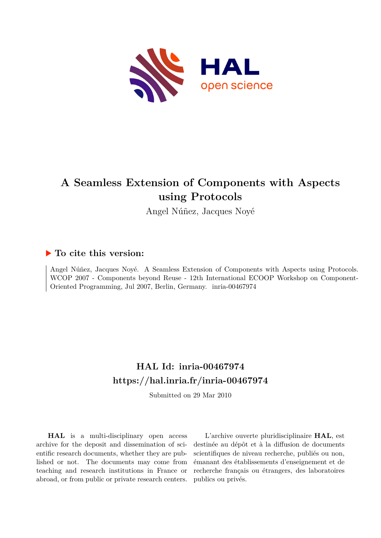

## **A Seamless Extension of Components with Aspects using Protocols**

Angel Núñez, Jacques Noyé

### **To cite this version:**

Angel Núñez, Jacques Noyé. A Seamless Extension of Components with Aspects using Protocols. WCOP 2007 - Components beyond Reuse - 12th International ECOOP Workshop on Component-Oriented Programming, Jul 2007, Berlin, Germany. inria-00467974

## **HAL Id: inria-00467974 <https://hal.inria.fr/inria-00467974>**

Submitted on 29 Mar 2010

**HAL** is a multi-disciplinary open access archive for the deposit and dissemination of scientific research documents, whether they are published or not. The documents may come from teaching and research institutions in France or abroad, or from public or private research centers.

L'archive ouverte pluridisciplinaire **HAL**, est destinée au dépôt et à la diffusion de documents scientifiques de niveau recherche, publiés ou non, émanant des établissements d'enseignement et de recherche français ou étrangers, des laboratoires publics ou privés.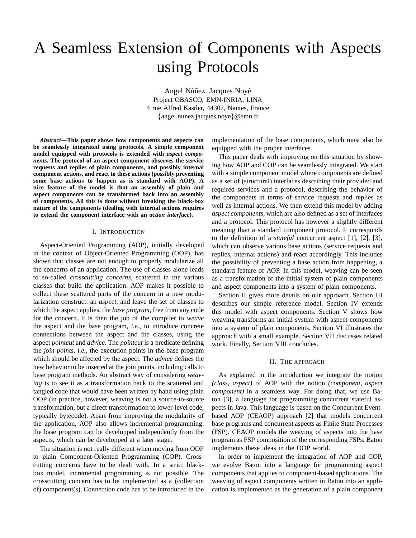# A Seamless Extension of Components with Aspects using Protocols

Angel Núñez, Jacques Noyé Project OBASCO, EMN-INRIA, LINA 4 rue Alfred Kastler, 44307, Nantes, France {angel.nunez,jacques.noye}@emn.fr

*Abstract***—This paper shows how components and aspects can be seamlessly integrated using protocols. A simple component model equipped with protocols is extended with** *aspect components***. The protocol of an aspect component observes the service requests and replies of plain components, and possibly internal component actions, and react to these actions (possibly preventing some base actions to happen as is standard with AOP). A nice feature of the model is that an assembly of plain and aspect components can be transformed back into an assembly of components. All this is done without breaking the black-box nature of the components (dealing with internal actions requires to extend the component interface with an** *action interface***).**

#### I. INTRODUCTION

Aspect-Oriented Programming (AOP), initially developed in the context of Object-Oriented Programming (OOP), has shown that classes are not enough to properly modularize all the concerns of an application. The use of classes alone leads to so-called *crosscutting concerns*, scattered in the various classes that build the application. AOP makes it possible to collect these scattered parts of the concern in a new modularization construct: an *aspect*, and leave the set of classes to which the aspect applies, the *base program*, free from any code for the concern. It is then the job of the compiler to *weave* the aspect and the base program, *i.e.*, to introduce concrete connections between the aspect and the classes, using the aspect *pointcut* and *advice*. The *pointcut* is a predicate defining the *join points*, *i.e.*, the execution points in the base program which should be affected by the aspect. The *advice* defines the new behavior to be inserted at the join points, including calls to base program methods. An abstract way of considering *weaving* is to see it as a transformation back to the scattered and tangled code that would have been written by hand using plain OOP (in practice, however, weaving is not a source-to-source transformation, but a direct transformation to lower-level code, typically bytecode). Apart from improving the modularity of the application, AOP also allows incremental programming: the base program can be developped independently from the aspects, which can be developped at a later stage.

The situation is not really different when moving from OOP to plain Component-Oriented Programming (COP). Crosscutting concerns have to be dealt with. In a strict blackbox model, incremental programming is not possible. The crosscutting concern has to be implemented as a (collection of) component(s). Connection code has to be introduced in the

implementation of the base components, which must also be equipped with the proper interfaces.

This paper deals with improving on this situation by showing how AOP and COP can be seamlessly integrated. We start with a simple component model where components are defined as a set of (structural) interfaces describing their provided and required services and a protocol, describing the behavior of the components in terms of service requests and replies as well as internal actions. We then extend this model by adding *aspect components*, which are also defined as a set of interfaces and a protocol. This protocol has however a slightly different meaning than a standard component protocol. It corresponds to the definition of a *stateful* concurrent aspect [1], [2], [3], which can observe various base actions (service requests and replies, internal actions) and react accordingly. This includes the possibility of preventing a base action from happening, a standard feature of AOP. In this model, weaving can be seen as a transformation of the initial system of plain components and aspect components into a system of plain components.

Section II gives more details on our approach. Section III describes our simple reference model. Section IV extends this model with aspect components. Section V shows how weaving transforms an initial system with aspect components into a system of plain components. Section VI illustrates the approach with a small example. Section VII discusses related work. Finally, Section VIII concludes.

#### II. THE APPROACH

As explained in the introduction we integrate the notion *(class, aspect)* of AOP with the notion *(component, aspect component)* in a seamless way. For doing that, we use Baton [3], a language for programming concurrent stateful aspects in Java. This language is based on the Concurrent Eventbased AOP (CEAOP) approach [2] that models concurrent base programs and concurrent aspects as Finite State Processes (FSP). CEAOP models the weaving of aspects into the base program as FSP composition of the corresponding FSPs. Baton implements these ideas in the OOP world.

In order to implement the integration of AOP and COP, we evolve Baton into a language for programming aspect components that applies to component-based applications. The weaving of aspect components written in Baton into an application is implemented as the generation of a plain component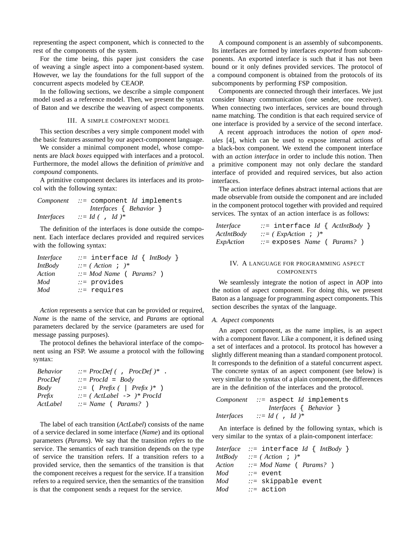representing the aspect component, which is connected to the rest of the components of the system.

For the time being, this paper just considers the case of weaving a single aspect into a component-based system. However, we lay the foundations for the full support of the concurrent aspects modeled by CEAOP.

In the following sections, we describe a simple component model used as a reference model. Then, we present the syntax of Baton and we describe the weaving of aspect components.

#### III. A SIMPLE COMPONENT MODEL

This section describes a very simple component model with the basic features assumed by our aspect-component language.

We consider a minimal component model, whose components are *black boxes* equipped with interfaces and a protocol. Furthermore, the model allows the definition of *primitive* and *compound* components.

A primitive component declares its interfaces and its protocol with the following syntax:

|            | $Component ::= component Id implements$ |
|------------|-----------------------------------------|
|            | Interfaces $\{ Behaviour \}$            |
| Interfaces | $\therefore$ = Id ( , Id )*             |

The definition of the interfaces is done outside the component. Each interface declares provided and required services with the following syntax:

| $ ::=$ interface Id { IntBody } |
|---------------------------------|
| $\therefore$ (Action ; )*       |
| $\therefore$ Mod Name (Params?) |
| $ ::=$ provides                 |
| $ ::=$ requires                 |
|                                 |

*Action* represents a service that can be provided or required, *Name* is the name of the service, and *Params* are optional parameters declared by the service (parameters are used for message passing purposes).

The protocol defines the behavioral interface of the component using an FSP. We assume a protocol with the following syntax:

| <b>Behavior</b> | $ ::= Procbef$ ( , ProcDef)* .          |
|-----------------|-----------------------------------------|
| ProcDef         | $\therefore$ = ProcId = Body            |
| Body            | $ ::= (Prefix (   Prefix )^*)$          |
| Prefix          | $ ::= (ActLabel \rightarrow ) * Procid$ |
| ActLabel        | $\therefore$ Name ( Params? )           |

The label of each transition (*ActLabel*) consists of the name of a service declared in some interface (*Name*) and its optional parameters (*Params*). We say that the transition *refers* to the service. The semantics of each transition depends on the type of service the transition refers. If a transition refers to a provided service, then the semantics of the transition is that the component receives a request for the service. If a transition refers to a required service, then the semantics of the transition is that the component sends a request for the service.

A compound component is an assembly of subcomponents. Its interfaces are formed by interfaces *exported* from subcomponents. An exported interface is such that it has not been bound or it only defines provided services. The protocol of a compound component is obtained from the protocols of its subcomponents by performing FSP composition.

Components are connected through their interfaces. We just consider binary communication (one sender, one receiver). When connecting two interfaces, services are bound through name matching. The condition is that each required service of one interface is provided by a service of the second interface.

A recent approach introduces the notion of *open modules* [4], which can be used to expose internal actions of a black-box component. We extend the component interface with an *action interface* in order to include this notion. Then a primitive component may not only declare the standard interface of provided and required services, but also action interfaces.

The action interface defines abstract internal actions that are made observable from outside the component and are included in the component protocol together with provided and required services. The syntax of an action interface is as follows:

| Interface  | $ ::=$ interface Id { ActIntBody }                    |
|------------|-------------------------------------------------------|
| ActIntBody | $\therefore$ (ExpAction ; )*                          |
| ExpAction  | $\therefore$ = exposes <i>Name</i> ( <i>Params?</i> ) |

#### IV. A LANGUAGE FOR PROGRAMMING ASPECT **COMPONENTS**

We seamlessly integrate the notion of aspect in AOP into the notion of aspect component. For doing this, we present Baton as a language for programming aspect components. This section describes the syntax of the language.

#### *A. Aspect components*

An aspect component, as the name implies, is an aspect with a component flavor. Like a component, it is defined using a set of interfaces and a protocol. Its protocol has however a slightly different meaning than a standard component protocol. It corresponds to the definition of a stateful concurrent aspect. The concrete syntax of an aspect component (see below) is very similar to the syntax of a plain component, the differences are in the definition of the interfaces and the protocol.

*Component ::=* aspect *Id* implements *Interfaces* { *Behavior* } *Interfaces ::= Id (* , *Id )\**

An interface is defined by the following syntax, which is very similar to the syntax of a plain-component interface:

|                | Interface ::= interface Id { IntBody } |
|----------------|----------------------------------------|
| <i>IntBody</i> | $\therefore = (Action \; : \;)^*$      |
| Action         | $\therefore$ = Mod Name (Params?)      |
| Mod            | $\mathrel{\mathop:}=$ event            |
| Mod            | $ ::=$ skippable event                 |
| Mod            | $::=$ action                           |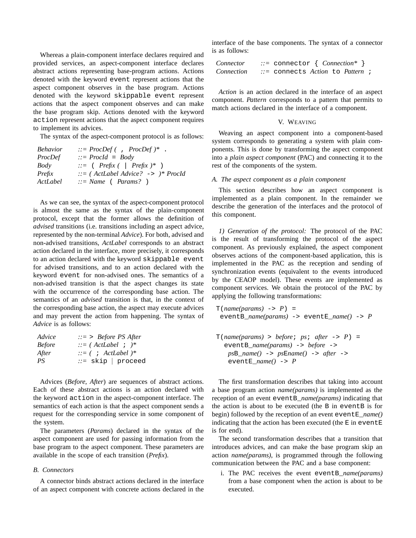Whereas a plain-component interface declares required and provided services, an aspect-component interface declares abstract actions representing base-program actions. Actions denoted with the keyword event represent actions that the aspect component observes in the base program. Actions denoted with the keyword skippable event represent actions that the aspect component observes and can make the base program skip. Actions denoted with the keyword action represent actions that the aspect component requires to implement its advices.

The syntax of the aspect-component protocol is as follows:

| <b>Behavior</b> | $ ::= Procbef$ ( , ProcDef)* .                |
|-----------------|-----------------------------------------------|
| ProcDef         | $\therefore$ = ProcId = Body                  |
| Body            | $\therefore$ ( Prefix (   Prefix $)$ * )      |
| Prefix          | $\therefore$ = (ActLabel Advice? -> )* ProcId |
| ActLabel        | $\therefore$ Name ( Params? )                 |

As we can see, the syntax of the aspect-component protocol is almost the same as the syntax of the plain-component protocol, except that the former allows the definition of *advised* transitions (i.e. transitions including an aspect advice, represented by the non-terminal *Advice*). For both, advised and non-advised transitions, *ActLabel* corresponds to an abstract action declared in the interface, more precisely, it corresponds to an action declared with the keyword skippable event for advised transitions, and to an action declared with the keyword event for non-advised ones. The semantics of a non-advised transition is that the aspect changes its state with the occurrence of the corresponding base action. The semantics of an *advised* transition is that, in the context of the corresponding base action, the aspect may execute advices and may prevent the action from happening. The syntax of *Advice* is as follows:

| Advice        | $\therefore$ > Before PS After    |  |
|---------------|-----------------------------------|--|
| <b>Before</b> | $ ::= (ActLabel : )^*$            |  |
| After         | $\therefore = ($ ; ActLabel $)$ * |  |
| PS            | $ ::=$ skip   proceed             |  |

Advices (*Before*, *After*) are sequences of abstract actions. Each of these abstract actions is an action declared with the keyword action in the aspect-component interface. The semantics of each action is that the aspect component sends a request for the corresponding service in some component of the system.

The parameters (*Params*) declared in the syntax of the aspect component are used for passing information from the base program to the aspect component. These parameters are available in the scope of each transition (*Prefix*).

#### *B. Connectors*

A connector binds abstract actions declared in the interface of an aspect component with concrete actions declared in the interface of the base components. The syntax of a connector is as follows:

| Connector  | $ ::=$ connector { Connection* }         |  |  |
|------------|------------------------------------------|--|--|
| Connection | $\therefore$ connects Action to Pattern; |  |  |

*Action* is an action declared in the interface of an aspect component. *Pattern* corresponds to a pattern that permits to match actions declared in the interface of a component.

#### V. WEAVING

Weaving an aspect component into a component-based system corresponds to generating a system with plain components. This is done by transforming the aspect component into a *plain aspect component* (PAC) and connecting it to the rest of the components of the system.

#### *A. The aspect component as a plain component*

This section describes how an aspect component is implemented as a plain component. In the remainder we describe the generation of the interfaces and the protocol of this component.

*1) Generation of the protocol:* The protocol of the PAC is the result of transforming the protocol of the aspect component. As previously explained, the aspect component observes actions of the component-based application, this is implemented in the PAC as the reception and sending of synchronization events (equivalent to the events introduced by the CEAOP model). These events are implemented as component services. We obtain the protocol of the PAC by applying the following transformations:

```
T(name(params) \rightarrow P) =eventB_name(params) -> eventE_name() -> P
```
 $T(name(params) > before; ps; after -> P) =$ eventB\_*name(params)* -> *before* -> *ps*B\_*name()* -> *ps*E*name()* -> *after* -> eventE\_*name()* -> *P*

The first transformation describes that taking into account a base program action *name(params)* is implemented as the reception of an event event<sub>B</sub> *name(params)* indicating that the action is about to be executed (the B in eventB is for begin) followed by the reception of an event eventE\_*name()* indicating that the action has been executed (the  $E$  in event  $E$ is for end).

The second transformation describes that a transition that introduces advices, and can make the base program skip an action *name(params)*, is programmed through the following communication between the PAC and a base component:

i. The PAC receives the event eventB *name(params)* from a base component when the action is about to be executed.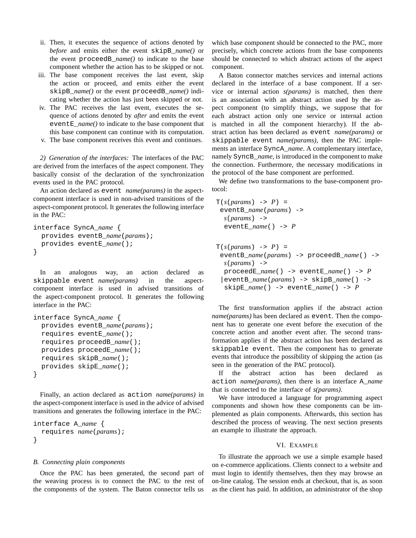- ii. Then, it executes the sequence of actions denoted by *before* and emits either the event skipB\_*name()* or the event proceedB\_*name()* to indicate to the base component whether the action has to be skipped or not.
- iii. The base component receives the last event, skip the action or proceed, and emits either the event skipB\_*name()* or the event proceedB\_*name()* indicating whether the action has just been skipped or not.
- iv. The PAC receives the last event, executes the sequence of actions denoted by *after* and emits the event eventE\_*name()* to indicate to the base component that this base component can continue with its computation.
- v. The base component receives this event and continues.

*2) Generation of the interfaces:* The interfaces of the PAC are derived from the interfaces of the aspect component. They basically consist of the declaration of the synchronization events used in the PAC protocol.

An action declared as event *name(params)* in the aspectcomponent interface is used in non-advised transitions of the aspect-component protocol. It generates the following interface in the PAC:

```
interface SyncA_name {
 provides eventB_name(params);
  provides eventE_name();
}
```
In an analogous way, an action declared as skippable event *name(params)* in the aspectcomponent interface is used in advised transitions of the aspect-component protocol. It generates the following interface in the PAC:

```
interface SyncA_name {
 provides eventB_name(params);
 requires eventE_name();
 requires proceedB_name();
 provides proceedE_name();
 requires skipB_name();
 provides skipE_name();
}
```
Finally, an action declared as action *name(params)* in the aspect-component interface is used in the advice of advised transitions and generates the following interface in the PAC:

```
interface A_name {
  requires name(params);
}
```
#### *B. Connecting plain components*

Once the PAC has been generated, the second part of the weaving process is to connect the PAC to the rest of the components of the system. The Baton connector tells us

which base component should be connected to the PAC, more precisely, which concrete actions from the base components should be connected to which abstract actions of the aspect component.

A Baton connector matches services and internal actions declared in the interface of a base component. If a service or internal action *s(params)* is matched, then there is an association with an abstract action used by the aspect component (to simplify things, we suppose that for each abstract action only one service or internal action is matched in all the component hierarchy). If the abstract action has been declared as event *name(params)* or skippable event *name(params)*, then the PAC implements an interface SyncA\_*name*. A complementary interface, namely SyncB\_*name*, is introduced in the component to make the connection. Furthermore, the necessary modifications in the protocol of the base component are performed.

We define two transformations to the base-component protocol:

```
T(s(\text{params}) \rightarrow P) =eventB_name(params) ->
  s(params) \rightarroweventE_name() -> P
```

```
T(s(\text{params}) \rightarrow P) =eventB_name(params) -> proceedB_name() ->
  s(params) \rightarrowproceedE_name() -> eventE_name() -> P
 |eventB_name(params) -> skipB_name() ->
  skipE_name() -> eventE_name() -> P
```
The first transformation applies if the abstract action *name(params)* has been declared as event. Then the component has to generate one event before the execution of the concrete action and another event after. The second transformation applies if the abstract action has been declared as skippable event. Then the component has to generate events that introduce the possibility of skipping the action (as seen in the generation of the PAC protocol).

If the abstract action has been declared as action *name(params)*, then there is an interface A\_*name* that is connected to the interface of *s(params)*.

We have introduced a language for programming aspect components and shown how these components can be implemented as plain components. Afterwards, this section has described the process of weaving. The next section presents an example to illustrate the approach.

#### VI. EXAMPLE

To illustrate the approach we use a simple example based on e-commerce applications. Clients connect to a website and must login to identify themselves, then they may browse an on-line catalog. The session ends at checkout, that is, as soon as the client has paid. In addition, an administrator of the shop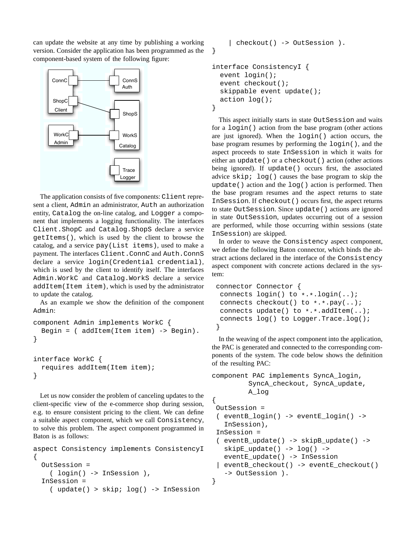can update the website at any time by publishing a working version. Consider the application has been programmed as the component-based system of the following figure:



The application consists of five components: Client represent a client, Admin an administrator, Auth an authorization entity, Catalog the on-line catalog, and Logger a component that implements a logging functionality. The interfaces Client.ShopC and Catalog.ShopS declare a service getItems(), which is used by the client to browse the catalog, and a service pay(List items), used to make a payment. The interfaces Client.ConnC and Auth.ConnS declare a service login(Credential credential), which is used by the client to identify itself. The interfaces Admin.WorkC and Catalog.WorkS declare a service addItem(Item item), which is used by the administrator to update the catalog.

As an example we show the definition of the component Admin:

```
component Admin implements WorkC {
 Begin = ( addItem(Item item) -> Begin).
}
interface WorkC {
 requires addItem(Item item);
}
```
Let us now consider the problem of canceling updates to the client-specific view of the e-commerce shop during session, e.g. to ensure consistent pricing to the client. We can define a suitable aspect component, which we call Consistency, to solve this problem. The aspect component programmed in Baton is as follows:

aspect Consistency implements ConsistencyI { OutSession = ( login() -> InSession ), InSession =

```
( update() > skip; log() -> InSession
```

```
| checkout() -> OutSession ).
```

```
interface ConsistencyI {
 event login();
 event checkout();
  skippable event update();
  action log();
}
```
}

This aspect initially starts in state OutSession and waits for a login() action from the base program (other actions are just ignored). When the login() action occurs, the base program resumes by performing the login(), and the aspect proceeds to state InSession in which it waits for either an update() or a checkout() action (other actions being ignored). If update() occurs first, the associated advice skip; log() causes the base program to skip the update() action and the  $log($ ) action is performed. Then the base program resumes and the aspect returns to state InSession. If checkout() occurs first, the aspect returns to state OutSession. Since update() actions are ignored in state OutSession, updates occurring out of a session are performed, while those occurring within sessions (state InSession) are skipped.

In order to weave the Consistency aspect component, we define the following Baton connector, which binds the abstract actions declared in the interface of the Consistency aspect component with concrete actions declared in the system:

```
connector Connector {
 connects login() to *.*.login(..);
 connects checkout() to *.*.pay(..);
 connects update() to *.*.addItem(..);
 connects log() to Logger. Trace. log();
}
```
In the weaving of the aspect component into the application, the PAC is generated and connected to the corresponding components of the system. The code below shows the definition of the resulting PAC:

```
component PAC implements SyncA_login,
         SyncA_checkout, SyncA_update,
         A_log
{
 OutSession =
 ( eventB_login() -> eventE_login() ->
   InSession),
 InSession =
 ( eventB_update() -> skipB_update() ->
   skipE_update() -> log() ->
   eventE_update() -> InSession
  | eventB_checkout() -> eventE_checkout()
   -> OutSession ).
}
```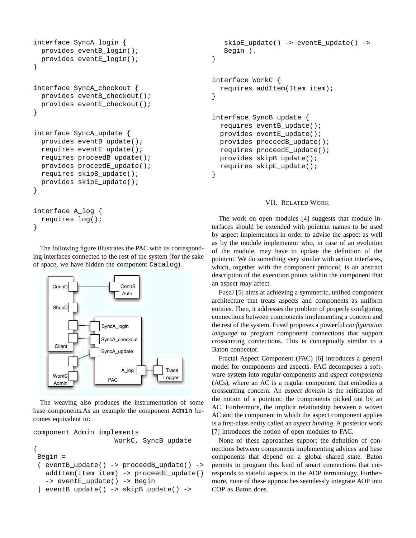```
interface SyncA_login {
 provides eventB_login();
 provides eventE_login();
}
```

```
interface SyncA_checkout {
 provides eventB_checkout();
 provides eventE_checkout();
}
```

```
interface SyncA_update {
 provides eventB update();
 requires eventE_update();
 requires proceedB_update();
 provides proceedE_update();
 requires skipB_update();
 provides skipE_update();
}
interface A_log {
```

```
requires log();
}
```
The following figure illustrates the PAC with its corresponding interfaces connected to the rest of the system (for the sake of space, we have hidden the component Catalog).



The weaving also produces the instrumentation of some base components.As an example the component Admin becomes equivalent to:

```
component Admin implements
                    WorkC, SyncB_update
{
 Begin =
 ( eventB_update() -> proceedB_update() ->
  addItem(Item item) -> proceedE_update()
   -> eventE_update() -> Begin
 | eventB_update() -> skipB_update() ->
```

```
skipE_update() -> eventE_update() ->
  Begin ).
}
interface WorkC {
 requires addItem(Item item);
}
interface SyncB_update {
  requires eventB update();
 provides eventE_update();
 provides proceedB_update();
 requires proceedE_update();
 provides skipB_update();
 requires skipE_update();
}
```
#### VII. RELATED WORK

The work on open modules [4] suggests that module interfaces should be extended with pointcut names to be used by aspect implementors in order to advise the aspect as well as by the module implementor who, in case of an evolution of the module, may have to update the definition of the pointcut. We do something very similar with action interfaces, which, together with the component protocol, is an abstract description of the execution points within the component that an aspect may affect.

FuseJ [5] aims at achieving a symmetric, unified component architecture that treats aspects and components as uniform entities. Then, it addresses the problem of properly configuring connections between components implementing a concern and the rest of the system. FuseJ proposes a powerful *configuration language* to program component connections that support crosscutting connections. This is conceptually similar to a Baton connector.

Fractal Aspect Component (FAC) [6] introduces a general model for components and aspects. FAC decomposes a software system into regular components and *aspect components* (ACs), where an AC is a regular component that embodies a crosscutting concern. An *aspect domain* is the reification of the notion of a pointcut: the components picked out by an AC. Furthermore, the implicit relationship between a woven AC and the component in which the aspect component applies is a first-class entity called an *aspect binding*. A posterior work [7] introduces the notion of open modules to FAC.

None of these approaches support the definition of connections between components implementing advices and base components that depend on a global shared state. Baton permits to program this kind of smart connections that corresponds to stateful aspects in the AOP terminology. Furthermore, none of these approaches seamlessly integrate AOP into COP as Baton does.